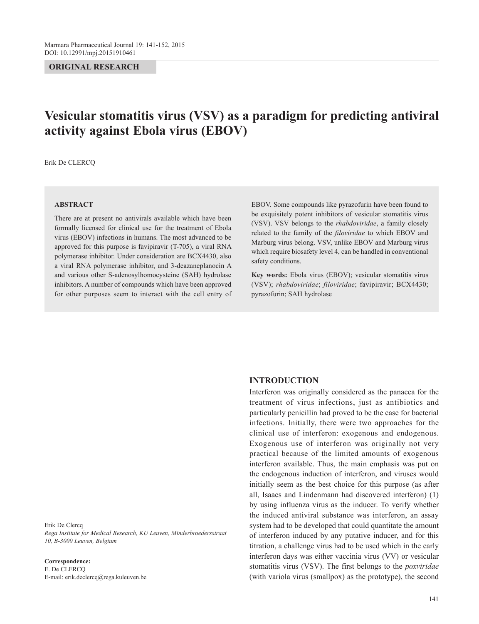## **ORIGINAL RESEARCH**

# **Vesicular stomatitis virus (VSV) as a paradigm for predicting antiviral activity against Ebola virus (EBOV)**

Erik De CLERCQ

#### **ABSTRACT**

There are at present no antivirals available which have been formally licensed for clinical use for the treatment of Ebola virus (EBOV) infections in humans. The most advanced to be approved for this purpose is favipiravir (T-705), a viral RNA polymerase inhibitor. Under consideration are BCX4430, also a viral RNA polymerase inhibitor, and 3-deazaneplanocin A and various other S-adenosylhomocysteine (SAH) hydrolase inhibitors. A number of compounds which have been approved for other purposes seem to interact with the cell entry of EBOV. Some compounds like pyrazofurin have been found to be exquisitely potent inhibitors of vesicular stomatitis virus (VSV). VSV belongs to the *rhabdoviridae*, a family closely related to the family of the *filoviridae* to which EBOV and Marburg virus belong. VSV, unlike EBOV and Marburg virus which require biosafety level 4, can be handled in conventional safety conditions.

**Key words:** Ebola virus (EBOV); vesicular stomatitis virus (VSV); *rhabdoviridae*; *filoviridae*; favipiravir; BCX4430; pyrazofurin; SAH hydrolase

## **INTRODUCTION**

Interferon was originally considered as the panacea for the treatment of virus infections, just as antibiotics and particularly penicillin had proved to be the case for bacterial infections. Initially, there were two approaches for the clinical use of interferon: exogenous and endogenous. Exogenous use of interferon was originally not very practical because of the limited amounts of exogenous interferon available. Thus, the main emphasis was put on the endogenous induction of interferon, and viruses would initially seem as the best choice for this purpose (as after all, Isaacs and Lindenmann had discovered interferon) (1) by using influenza virus as the inducer. To verify whether the induced antiviral substance was interferon, an assay system had to be developed that could quantitate the amount of interferon induced by any putative inducer, and for this titration, a challenge virus had to be used which in the early interferon days was either vaccinia virus (VV) or vesicular stomatitis virus (VSV). The first belongs to the *poxviridae* (with variola virus (smallpox) as the prototype), the second

Erik De Clercq *Rega Institute for Medical Research, KU Leuven, Minderbroedersstraat 10, B-3000 Leuven, Belgium*

**Correspondence:** E. De CLERCQ E-mail: erik.declercq@rega.kuleuven.be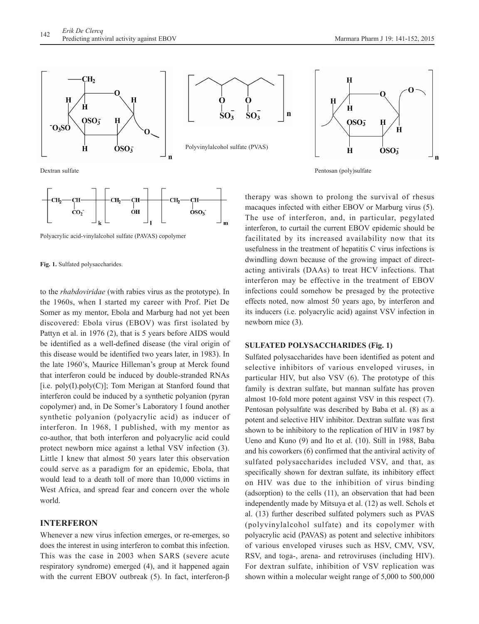

Dextran sulfate



Polyacrylic acid-vinylalcohol sulfate (PAVAS) copolymer

to the *rhabdoviridae* (with rabies virus as the prototype). In the 1960s, when I started my career with Prof. Piet De Somer as my mentor, Ebola and Marburg had not yet been discovered: Ebola virus (EBOV) was first isolated by Pattyn et al. in 1976 (2), that is 5 years before AIDS would be identified as a well-defined disease (the viral origin of this disease would be identified two years later, in 1983). In the late 1960's, Maurice Hilleman's group at Merck found that interferon could be induced by double-stranded RNAs  $[i.e. poly(I).poly(C)]$ ; Tom Merigan at Stanford found that interferon could be induced by a synthetic polyanion (pyran copolymer) and, in De Somer's Laboratory I found another synthetic polyanion (polyacrylic acid) as inducer of interferon. In 1968, I published, with my mentor as co-author, that both interferon and polyacrylic acid could protect newborn mice against a lethal VSV infection (3). Little I knew that almost 50 years later this observation could serve as a paradigm for an epidemic, Ebola, that would lead to a death toll of more than 10,000 victims in West Africa, and spread fear and concern over the whole world.

## **INTERFERON**

Whenever a new virus infection emerges, or re-emerges, so does the interest in using interferon to combat this infection. This was the case in 2003 when SARS (severe acute respiratory syndrome) emerged (4), and it happened again with the current EBOV outbreak (5). In fact, interferon-β





 $\mathbf{n}$ 

therapy was shown to prolong the survival of rhesus macaques infected with either EBOV or Marburg virus (5). The use of interferon, and, in particular, pegylated interferon, to curtail the current EBOV epidemic should be facilitated by its increased availability now that its usefulness in the treatment of hepatitis C virus infections is dwindling down because of the growing impact of directacting antivirals (DAAs) to treat HCV infections. That interferon may be effective in the treatment of EBOV infections could somehow be presaged by the protective effects noted, now almost 50 years ago, by interferon and its inducers (i.e. polyacrylic acid) against VSV infection in newborn mice (3).

#### **SULFATED POLYSACCHARIDES (Fig. 1)**

Sulfated polysaccharides have been identified as potent and selective inhibitors of various enveloped viruses, in particular HIV, but also VSV (6). The prototype of this family is dextran sulfate, but mannan sulfate has proven almost 10-fold more potent against VSV in this respect (7). Pentosan polysulfate was described by Baba et al. (8) as a potent and selective HIV inhibitor. Dextran sulfate was first shown to be inhibitory to the replication of HIV in 1987 by Ueno and Kuno (9) and Ito et al. (10). Still in 1988, Baba and his coworkers (6) confirmed that the antiviral activity of sulfated polysaccharides included VSV, and that, as specifically shown for dextran sulfate, its inhibitory effect on HIV was due to the inhibition of virus binding (adsorption) to the cells (11), an observation that had been independently made by Mitsuya et al. (12) as well. Schols et al. (13) further described sulfated polymers such as PVAS (polyvinylalcohol sulfate) and its copolymer with polyacrylic acid (PAVAS) as potent and selective inhibitors of various enveloped viruses such as HSV, CMV, VSV, RSV, and toga-, arena- and retroviruses (including HIV). For dextran sulfate, inhibition of VSV replication was shown within a molecular weight range of 5,000 to 500,000

**Fig. 1.** Sulfated polysaccharides.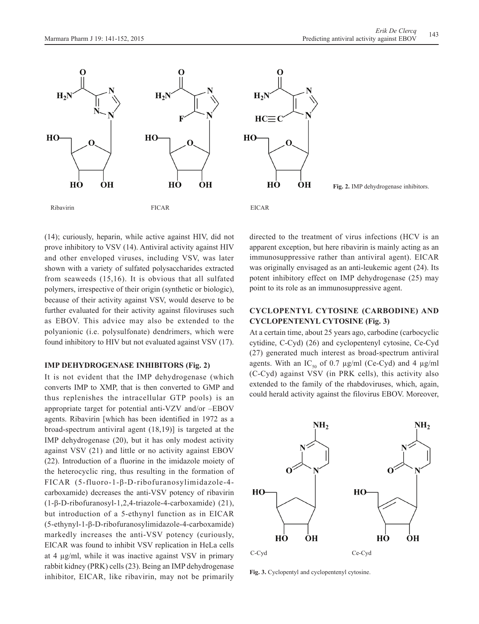



(14); curiously, heparin, while active against HIV, did not prove inhibitory to VSV (14). Antiviral activity against HIV and other enveloped viruses, including VSV, was later shown with a variety of sulfated polysaccharides extracted from seaweeds (15,16). It is obvious that all sulfated polymers, irrespective of their origin (synthetic or biologic), because of their activity against VSV, would deserve to be further evaluated for their activity against filoviruses such as EBOV. This advice may also be extended to the polyanionic (i.e. polysulfonate) dendrimers, which were found inhibitory to HIV but not evaluated against VSV (17).

## **IMP DEHYDROGENASE INHIBITORS (Fig. 2)**

It is not evident that the IMP dehydrogenase (which converts IMP to XMP, that is then converted to GMP and thus replenishes the intracellular GTP pools) is an appropriate target for potential anti-VZV and/or –EBOV agents. Ribavirin [which has been identified in 1972 as a broad-spectrum antiviral agent (18,19)] is targeted at the IMP dehydrogenase (20), but it has only modest activity against VSV (21) and little or no activity against EBOV (22). Introduction of a fluorine in the imidazole moiety of the heterocyclic ring, thus resulting in the formation of FICAR (5-fluoro-1-β-D-ribofuranosylimidazole-4 carboxamide) decreases the anti-VSV potency of ribavirin (1-β-D-ribofuranosyl-1,2,4-triazole-4-carboxamide) (21), but introduction of a 5-ethynyl function as in EICAR (5-ethynyl-1-β-D-ribofuranosylimidazole-4-carboxamide) markedly increases the anti-VSV potency (curiously, EICAR was found to inhibit VSV replication in HeLa cells at 4 µg/ml, while it was inactive against VSV in primary rabbit kidney (PRK) cells (23). Being an IMP dehydrogenase inhibitor, EICAR, like ribavirin, may not be primarily

directed to the treatment of virus infections (HCV is an apparent exception, but here ribavirin is mainly acting as an immunosuppressive rather than antiviral agent). EICAR was originally envisaged as an anti-leukemic agent (24). Its potent inhibitory effect on IMP dehydrogenase (25) may point to its role as an immunosuppressive agent.

## **CYCLOPENTYL CYTOSINE (CARBODINE) AND CYCLOPENTENYL CYTOSINE (Fig. 3)**

At a certain time, about 25 years ago, carbodine (carbocyclic cytidine, C-Cyd) (26) and cyclopentenyl cytosine, Ce-Cyd (27) generated much interest as broad-spectrum antiviral agents. With an IC<sub>50</sub> of 0.7  $\mu$ g/ml (Ce-Cyd) and 4  $\mu$ g/ml (C-Cyd) against VSV (in PRK cells), this activity also extended to the family of the rhabdoviruses, which, again, could herald activity against the filovirus EBOV. Moreover,



**Fig. 3.** Cyclopentyl and cyclopentenyl cytosine.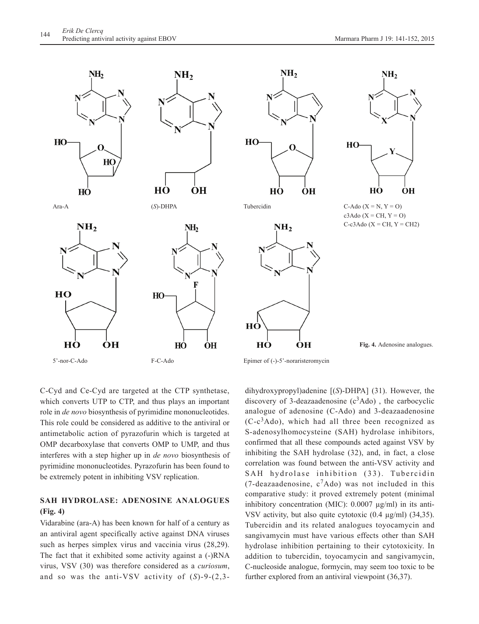

C-Cyd and Ce-Cyd are targeted at the CTP synthetase, which converts UTP to CTP, and thus plays an important role in *de novo* biosynthesis of pyrimidine mononucleotides. This role could be considered as additive to the antiviral or antimetabolic action of pyrazofurin which is targeted at OMP decarboxylase that converts OMP to UMP, and thus interferes with a step higher up in *de novo* biosynthesis of pyrimidine mononucleotides. Pyrazofurin has been found to be extremely potent in inhibiting VSV replication.

# **SAH HYDROLASE: ADENOSINE ANALOGUES (Fig. 4)**

Vidarabine (ara-A) has been known for half of a century as an antiviral agent specifically active against DNA viruses such as herpes simplex virus and vaccinia virus (28,29). The fact that it exhibited some activity against a (-)RNA virus, VSV (30) was therefore considered as a *curiosum*, and so was the anti-VSV activity of (*S*)-9-(2,3dihydroxypropyl)adenine [(*S*)-DHPA] (31). However, the discovery of 3-deazaadenosine  $(c^3Ado)$ , the carbocyclic analogue of adenosine (C-Ado) and 3-deazaadenosine  $(C-c<sup>3</sup>Ado)$ , which had all three been recognized as S-adenosylhomocysteine (SAH) hydrolase inhibitors, confirmed that all these compounds acted against VSV by inhibiting the SAH hydrolase (32), and, in fact, a close correlation was found between the anti-VSV activity and SAH hydrolase inhibition (33). Tubercidin (7-deazaadenosine,  $c^7$ Ado) was not included in this comparative study: it proved extremely potent (minimal inhibitory concentration (MIC): 0.0007 µg/ml) in its anti-VSV activity, but also quite cytotoxic (0.4 µg/ml) (34,35). Tubercidin and its related analogues toyocamycin and sangivamycin must have various effects other than SAH hydrolase inhibition pertaining to their cytotoxicity. In addition to tubercidin, toyocamycin and sangivamycin, C-nucleoside analogue, formycin, may seem too toxic to be further explored from an antiviral viewpoint (36,37).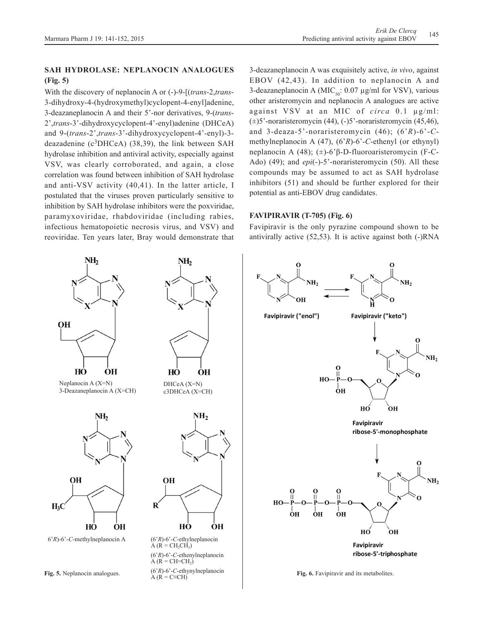NH<sub>2</sub>

# **SAH HYDROLASE: NEPLANOCIN ANALOGUES (Fig. 5)**

With the discovery of neplanocin A or (-)-9-[(*trans*-2,*trans*-3-dihydroxy-4-(hydroxymethyl)cyclopent-4-enyl]adenine, 3-deazaneplanocin A and their 5'-nor derivatives, 9-(*trans*-2',*trans*-3'-dihydroxycyclopent-4'-enyl)adenine (DHCeA) and 9-(*trans*-2',*trans*-3'-dihydroxycyclopent-4'-enyl)-3 deazadenine  $(c^3DHCeA)$  (38,39), the link between SAH hydrolase inhibition and antiviral activity, especially against VSV, was clearly corroborated, and again, a close correlation was found between inhibition of SAH hydrolase and anti-VSV activity (40,41). In the latter article, I postulated that the viruses proven particularly sensitive to inhibition by SAH hydrolase inhibitors were the poxviridae, paramyxoviridae, rhabdoviridae (including rabies, infectious hematopoietic necrosis virus, and VSV) and reoviridae. Ten years later, Bray would demonstrate that

NH<sub>2</sub>

**OH** 

 $NH<sub>2</sub>$ 

3-deazaneplanocin A was exquisitely active, *in vivo*, against EBOV (42,43). In addition to neplanocin A and 3-deazaneplanocin A (MIC<sub>50</sub>: 0.07 µg/ml for VSV), various other aristeromycin and neplanocin A analogues are active against VSV at an MIC of *circa* 0.1 µg/ml:  $(\pm)$ 5'-noraristeromycin (44), (-)5'-noraristeromycin (45,46), and 3-deaza-5'-noraristeromycin (46); (6'*R*)-6'-*C*methylneplanocin A (47), (6'*R*)-6'-*C*-ethenyl (or ethynyl) neplanocin A (48); (±)-6'β-D-fluoroaristeromycin (F-C-Ado) (49); and *epi*(-)-5'-noraristeromycin (50). All these compounds may be assumed to act as SAH hydrolase inhibitors (51) and should be further explored for their potential as anti-EBOV drug candidates.

## **FAVIPIRAVIR (T-705) (Fig. 6)**

Favipiravir is the only pyrazine compound shown to be antivirally active (52,53). It is active against both (-)RNA



![](_page_4_Figure_8.jpeg)

**Fig. 5.** Neplanocin analogues.

 $\angle A$  ( $\angle R$  = C=CH)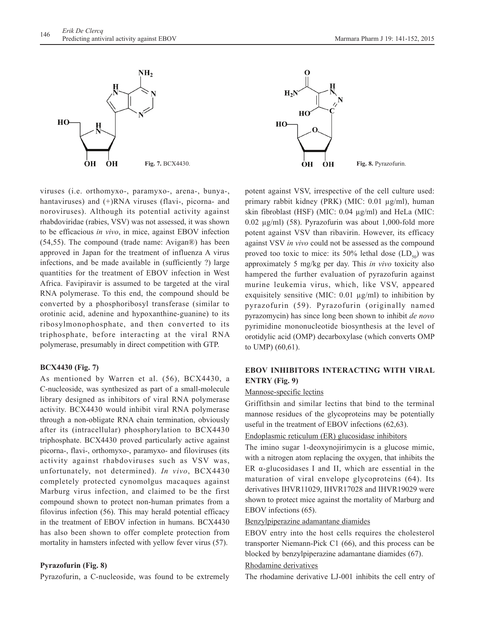![](_page_5_Figure_1.jpeg)

![](_page_5_Figure_2.jpeg)

viruses (i.e. orthomyxo-, paramyxo-, arena-, bunya-, hantaviruses) and  $(+)$ RNA viruses (flavi-, picorna- and noroviruses). Although its potential activity against rhabdoviridae (rabies, VSV) was not assessed, it was shown to be efficacious *in vivo*, in mice, against EBOV infection (54,55). The compound (trade name: Avigan®) has been approved in Japan for the treatment of influenza A virus infections, and be made available in (sufficiently ?) large quantities for the treatment of EBOV infection in West Africa. Favipiravir is assumed to be targeted at the viral RNA polymerase. To this end, the compound should be converted by a phosphoribosyl transferase (similar to orotinic acid, adenine and hypoxanthine-guanine) to its ribosylmonophosphate, and then converted to its triphosphate, before interacting at the viral RNA polymerase, presumably in direct competition with GTP.

## **BCX4430 (Fig. 7)**

As mentioned by Warren et al. (56), BCX4430, a C-nucleoside, was synthesized as part of a small-molecule library designed as inhibitors of viral RNA polymerase activity. BCX4430 would inhibit viral RNA polymerase through a non-obligate RNA chain termination, obviously after its (intracellular) phosphorylation to BCX4430 triphosphate. BCX4430 proved particularly active against picorna-, flavi-, orthomyxo-, paramyxo- and filoviruses (its activity against rhabdoviruses such as VSV was, unfortunately, not determined). *In vivo*, BCX4430 completely protected cynomolgus macaques against Marburg virus infection, and claimed to be the first compound shown to protect non-human primates from a filovirus infection (56). This may herald potential efficacy in the treatment of EBOV infection in humans. BCX4430 has also been shown to offer complete protection from mortality in hamsters infected with yellow fever virus (57).

## **Pyrazofurin (Fig. 8)**

Pyrazofurin, a C-nucleoside, was found to be extremely

potent against VSV, irrespective of the cell culture used: primary rabbit kidney (PRK) (MIC: 0.01 µg/ml), human skin fibroblast (HSF) (MIC: 0.04 µg/ml) and HeLa (MIC: 0.02 µg/ml) (58). Pyrazofurin was about 1,000-fold more potent against VSV than ribavirin. However, its efficacy against VSV *in vivo* could not be assessed as the compound proved too toxic to mice: its 50% lethal dose  $(LD_{50})$  was approximately 5 mg/kg per day. This *in vivo* toxicity also hampered the further evaluation of pyrazofurin against murine leukemia virus, which, like VSV, appeared exquisitely sensitive (MIC:  $0.01 \mu g/ml$ ) to inhibition by pyrazofurin (59). Pyrazofurin (originally named pyrazomycin) has since long been shown to inhibit *de novo* pyrimidine mononucleotide biosynthesis at the level of orotidylic acid (OMP) decarboxylase (which converts OMP to UMP) (60,61).

# **EBOV INHIBITORS INTERACTING WITH VIRAL ENTRY (Fig. 9)**

## Mannose-specific lectins

Griffithsin and similar lectins that bind to the terminal mannose residues of the glycoproteins may be potentially useful in the treatment of EBOV infections (62,63).

## Endoplasmic reticulum (ER) glucosidase inhibitors

The imino sugar 1-deoxynojirimycin is a glucose mimic, with a nitrogen atom replacing the oxygen, that inhibits the ER α-glucosidases I and II, which are essential in the maturation of viral envelope glycoproteins (64). Its derivatives IHVR11029, IHVR17028 and IHVR19029 were shown to protect mice against the mortality of Marburg and EBOV infections (65).

# Benzylpiperazine adamantane diamides

EBOV entry into the host cells requires the cholesterol transporter Niemann-Pick C1 (66), and this process can be blocked by benzylpiperazine adamantane diamides (67).

## Rhodamine derivatives

The rhodamine derivative LJ-001 inhibits the cell entry of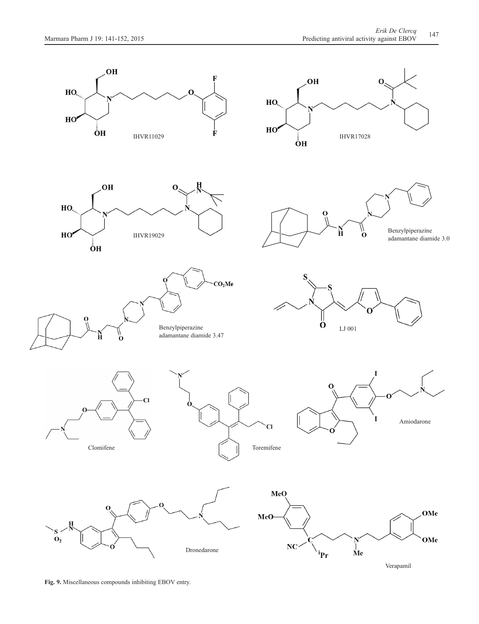![](_page_6_Figure_2.jpeg)

**Fig. 9.** Miscellaneous compounds inhibiting EBOV entry.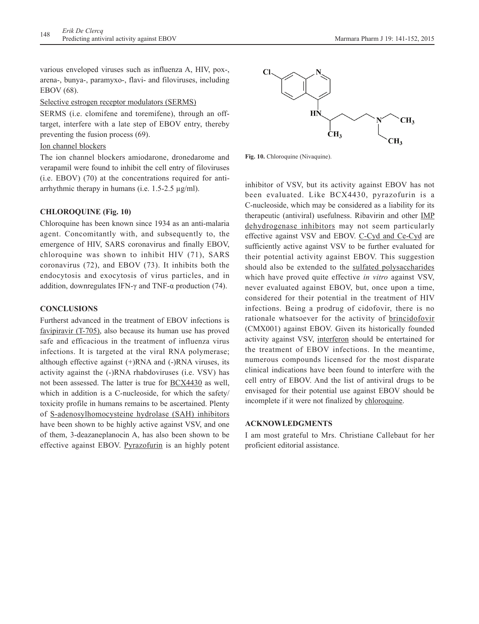various enveloped viruses such as influenza A, HIV, pox-, arena-, bunya-, paramyxo-, flavi- and filoviruses, including EBOV (68).

## Selective estrogen receptor modulators (SERMS)

SERMS (i.e. clomifene and toremifene), through an offtarget, interfere with a late step of EBOV entry, thereby preventing the fusion process (69).

# Ion channel blockers

The ion channel blockers amiodarone, dronedarome and verapamil were found to inhibit the cell entry of filoviruses (i.e. EBOV) (70) at the concentrations required for antiarrhythmic therapy in humans (i.e.  $1.5-2.5 \mu g/ml$ ).

## **CHLOROQUINE (Fig. 10)**

Chloroquine has been known since 1934 as an anti-malaria agent. Concomitantly with, and subsequently to, the emergence of HIV, SARS coronavirus and finally EBOV, chloroquine was shown to inhibit HIV (71), SARS coronavirus (72), and EBOV (73). It inhibits both the endocytosis and exocytosis of virus particles, and in addition, downregulates IFN- $\gamma$  and TNF- $\alpha$  production (74).

# **CONCLUSIONS**

Furtherst advanced in the treatment of EBOV infections is favipiravir (T-705), also because its human use has proved safe and efficacious in the treatment of influenza virus infections. It is targeted at the viral RNA polymerase; although effective against (+)RNA and (-)RNA viruses, its activity against the (-)RNA rhabdoviruses (i.e. VSV) has not been assessed. The latter is true for BCX4430 as well, which in addition is a C-nucleoside, for which the safety/ toxicity profile in humans remains to be ascertained. Plenty of S-adenosylhomocysteine hydrolase (SAH) inhibitors have been shown to be highly active against VSV, and one of them, 3-deazaneplanocin A, has also been shown to be effective against EBOV. Pyrazofurin is an highly potent

![](_page_7_Figure_10.jpeg)

Fig. 10. Chloroquine (Nivaquine).

inhibitor of VSV, but its activity against EBOV has not been evaluated. Like BCX4430, pyrazofurin is a C-nucleoside, which may be considered as a liability for its therapeutic (antiviral) usefulness. Ribavirin and other IMP dehydrogenase inhibitors may not seem particularly effective against VSV and EBOV. C-Cyd and Ce-Cyd are sufficiently active against VSV to be further evaluated for their potential activity against EBOV. This suggestion should also be extended to the sulfated polysaccharides which have proved quite effective *in vitro* against VSV, never evaluated against EBOV, but, once upon a time, considered for their potential in the treatment of HIV infections. Being a prodrug of cidofovir, there is no rationale whatsoever for the activity of brincidofovir (CMX001) against EBOV. Given its historically founded activity against VSV, interferon should be entertained for the treatment of EBOV infections. In the meantime, numerous compounds licensed for the most disparate clinical indications have been found to interfere with the cell entry of EBOV. And the list of antiviral drugs to be envisaged for their potential use against EBOV should be incomplete if it were not finalized by chloroquine.

## **ACKNOWLEDGMENTS**

I am most grateful to Mrs. Christiane Callebaut for her proficient editorial assistance.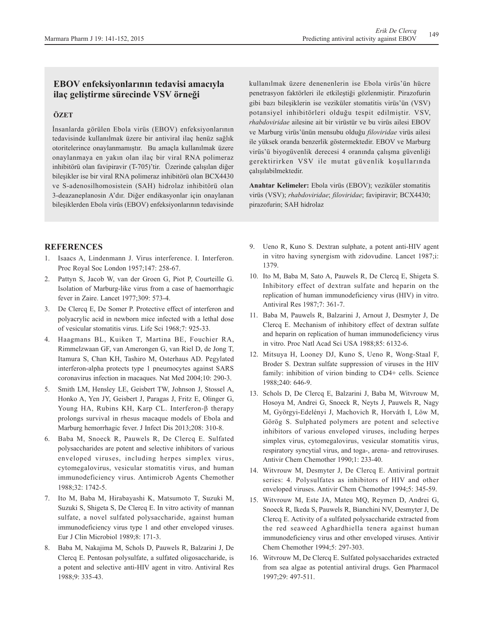# **EBOV enfeksiyonlarının tedavisi amacıyla ilaç geliştirme sürecinde VSV örneği**

# **ÖZET**

İnsanlarda görülen Ebola virüs (EBOV) enfeksiyonlarının tedavisinde kullanılmak üzere bir antiviral ilaç henüz sağlık otoritelerince onaylanmamıştır. Bu amaçla kullanılmak üzere onaylanmaya en yakın olan ilaç bir viral RNA polimeraz inhibitörü olan favipiravir (T-705)'tir. Üzerinde çalışılan diğer bileşikler ise bir viral RNA polimeraz inhibitörü olan BCX4430 ve S-adenosilhomosistein (SAH) hidrolaz inhibitörü olan 3-deazaneplanosin A'dır. Diğer endikasyonlar için onaylanan bileşiklerden Ebola virüs (EBOV) enfeksiyonlarının tedavisinde kullanılmak üzere denenenlerin ise Ebola virüs'ün hücre penetrasyon faktörleri ile etkileştiği gözlenmiştir. Pirazofurin gibi bazı bileşiklerin ise veziküler stomatitis virüs'ün (VSV) potansiyel inhibitörleri olduğu tespit edilmiştir. VSV, *rhabdoviridae* ailesine ait bir virüstür ve bu virüs ailesi EBOV ve Marburg virüs'ünün mensubu olduğu *filoviridae* virüs ailesi ile yüksek oranda benzerlik göstermektedir. EBOV ve Marburg virüs'ü biyogüvenlik derecesi 4 oranında çalışma güvenliği gerektirirken VSV ile mutat güvenlik koşullarında çalışılabilmektedir.

**Anahtar Kelimeler:** Ebola virüs (EBOV); veziküler stomatitis virüs (VSV); *rhabdoviridae*; *filoviridae*; favipiravir; BCX4430; pirazofurin; SAH hidrolaz

# **REFERENCES**

- 1. Isaacs A, Lindenmann J. Virus interference. I. Interferon. Proc Royal Soc London 1957;147: 258-67.
- 2. Pattyn S, Jacob W, van der Groen G, Piot P, Courteille G. Isolation of Marburg-like virus from a case of haemorrhagic fever in Zaire. Lancet 1977;309: 573-4.
- 3. De Clercq E, De Somer P. Protective effect of interferon and polyacrylic acid in newborn mice infected with a lethal dose of vesicular stomatitis virus. Life Sci 1968;7: 925-33.
- 4. Haagmans BL, Kuiken T, Martina BE, Fouchier RA, Rimmelzwaan GF, van Amerongen G, van Riel D, de Jong T, Itamura S, Chan KH, Tashiro M, Osterhaus AD. Pegylated interferon-alpha protects type 1 pneumocytes against SARS coronavirus infection in macaques. Nat Med 2004;10: 290-3.
- 5. Smith LM, Hensley LE, Geisbert TW, Johnson J, Stossel A, Honko A, Yen JY, Geisbert J, Paragas J, Fritz E, Olinger G, Young HA, Rubins KH, Karp CL. Interferon-β therapy prolongs survival in rhesus macaque models of Ebola and Marburg hemorrhagic fever. J Infect Dis 2013;208: 310-8.
- 6. Baba M, Snoeck R, Pauwels R, De Clercq E. Sulfated polysaccharides are potent and selective inhibitors of various enveloped viruses, including herpes simplex virus, cytomegalovirus, vesicular stomatitis virus, and human immunodeficiency virus. Antimicrob Agents Chemother 1988;32: 1742-5.
- 7. Ito M, Baba M, Hirabayashi K, Matsumoto T, Suzuki M, Suzuki S, Shigeta S, De Clercq E. In vitro activity of mannan sulfate, a novel sulfated polysaccharide, against human immunodeficiency virus type 1 and other enveloped viruses. Eur J Clin Microbiol 1989;8: 171-3.
- 8. Baba M, Nakajima M, Schols D, Pauwels R, Balzarini J, De Clercq E. Pentosan polysulfate, a sulfated oligosaccharide, is a potent and selective anti-HIV agent in vitro. Antiviral Res 1988;9: 335-43.
- 9. Ueno R, Kuno S. Dextran sulphate, a potent anti-HIV agent in vitro having synergism with zidovudine. Lancet 1987;i: 1379.
- 10. Ito M, Baba M, Sato A, Pauwels R, De Clercq E, Shigeta S. Inhibitory effect of dextran sulfate and heparin on the replication of human immunodeficiency virus (HIV) in vitro. Antiviral Res 1987;7: 361-7.
- 11. Baba M, Pauwels R, Balzarini J, Arnout J, Desmyter J, De Clercq E. Mechanism of inhibitory effect of dextran sulfate and heparin on replication of human immunodeficiency virus in vitro. Proc Natl Acad Sci USA 1988;85: 6132-6.
- 12. Mitsuya H, Looney DJ, Kuno S, Ueno R, Wong-Staal F, Broder S. Dextran sulfate suppression of viruses in the HIV family: inhibition of virion binding to CD4+ cells. Science 1988;240: 646-9.
- 13. Schols D, De Clercq E, Balzarini J, Baba M, Witvrouw M, Hosoya M, Andrei G, Snoeck R, Neyts J, Pauwels R, Nagy M, Györgyi-Edelényi J, Machovich R, Horváth I, Löw M, Görög S. Sulphated polymers are potent and selective inhibitors of various enveloped viruses, including herpes simplex virus, cytomegalovirus, vesicular stomatitis virus, respiratory syncytial virus, and toga-, arena- and retroviruses. Antivir Chem Chemother 1990;1: 233-40.
- 14. Witvrouw M, Desmyter J, De Clercq E. Antiviral portrait series: 4. Polysulfates as inhibitors of HIV and other enveloped viruses. Antivir Chem Chemother 1994;5: 345-59.
- 15. Witvrouw M, Este JA, Mateu MQ, Reymen D, Andrei G, Snoeck R, Ikeda S, Pauwels R, Bianchini NV, Desmyter J, De Clercq E. Activity of a sulfated polysaccharide extracted from the red seaweed Aghardhiella tenera against human immunodeficiency virus and other enveloped viruses. Antivir Chem Chemother 1994;5: 297-303.
- 16. Witvrouw M, De Clercq E. Sulfated polysaccharides extracted from sea algae as potential antiviral drugs. Gen Pharmacol 1997;29: 497-511.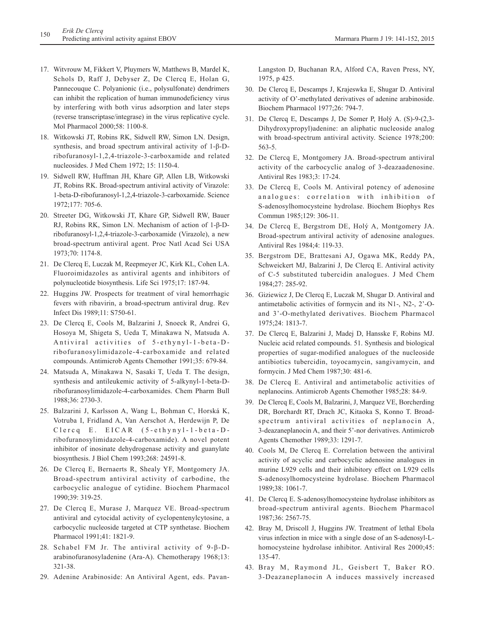- 17. Witvrouw M, Fikkert V, Pluymers W, Matthews B, Mardel K, Schols D, Raff J, Debyser Z, De Clercq E, Holan G, Pannecouque C. Polyanionic (i.e., polysulfonate) dendrimers can inhibit the replication of human immunodeficiency virus by interfering with both virus adsorption and later steps (reverse transcriptase/integrase) in the virus replicative cycle. Mol Pharmacol 2000;58: 1100-8.
- 18. Witkowski JT, Robins RK, Sidwell RW, Simon LN. Design, synthesis, and broad spectrum antiviral activity of 1-β-Dribofuranosyl-1,2,4-triazole-3-carboxamide and related nucleosides. J Med Chem 1972; 15: 1150-4.
- 19. Sidwell RW, Huffman JH, Khare GP, Allen LB, Witkowski JT, Robins RK. Broad-spectrum antiviral activity of Virazole: 1-beta-D-ribofuranosyl-1,2,4-triazole-3-carboxamide. Science 1972;177: 705-6.
- 20. Streeter DG, Witkowski JT, Khare GP, Sidwell RW, Bauer RJ, Robins RK, Simon LN. Mechanism of action of 1-β-Dribofuranosyl-1,2,4-triazole-3-carboxamide (Virazole), a new broad-spectrum antiviral agent. Proc Natl Acad Sci USA 1973;70: 1174-8.
- 21. De Clercq E, Luczak M, Reepmeyer JC, Kirk KL, Cohen LA. Fluoroimidazoles as antiviral agents and inhibitors of polynucleotide biosynthesis. Life Sci 1975;17: 187-94.
- 22. Huggins JW. Prospects for treatment of viral hemorrhagic fevers with ribavirin, a broad-spectrum antiviral drug. Rev Infect Dis 1989;11: S750-61.
- 23. De Clercq E, Cools M, Balzarini J, Snoeck R, Andrei G, Hosoya M, Shigeta S, Ueda T, Minakawa N, Matsuda A. Antiviral activities of 5-ethynyl-1-beta-Dribofuranosylimidazole-4-carboxamide and related compounds. Antimicrob Agents Chemother 1991;35: 679-84.
- 24. Matsuda A, Minakawa N, Sasaki T, Ueda T. The design, synthesis and antileukemic activity of 5-alkynyl-1-beta-Dribofuranosylimidazole-4-carboxamides. Chem Pharm Bull 1988;36: 2730-3.
- 25. Balzarini J, Karlsson A, Wang L, Bohman C, Horská K, Votruba I, Fridland A, Van Aerschot A, Herdewijn P, De Clercq E. EICAR (5-ethynyl-1-beta-Dribofuranosylimidazole-4-carboxamide). A novel potent inhibitor of inosinate dehydrogenase activity and guanylate biosynthesis. J Biol Chem 1993;268: 24591-8.
- 26. De Clercq E, Bernaerts R, Shealy YF, Montgomery JA. Broad-spectrum antiviral activity of carbodine, the carbocyclic analogue of cytidine. Biochem Pharmacol 1990;39: 319-25.
- 27. De Clercq E, Murase J, Marquez VE. Broad-spectrum antiviral and cytocidal activity of cyclopentenylcytosine, a carbocyclic nucleoside targeted at CTP synthetase. Biochem Pharmacol 1991;41: 1821-9.
- 28. Schabel FM Jr. The antiviral activity of 9-β-Darabinofuranosyladenine (Ara-A). Chemotherapy 1968;13: 321-38.
- 29. Adenine Arabinoside: An Antiviral Agent, eds. Pavan-

Langston D, Buchanan RA, Alford CA, Raven Press, NY, 1975, p 425.

- 30. De Clercq E, Descamps J, Krajeswka E, Shugar D. Antiviral activity of O'-methylated derivatives of adenine arabinoside. Biochem Pharmacol 1977;26: 794-7.
- 31. De Clercq E, Descamps J, De Somer P, Holý A. (S)-9-(2,3- Dihydroxypropyl)adenine: an aliphatic nucleoside analog with broad-spectrum antiviral activity. Science 1978;200: 563-5.
- 32. De Clercq E, Montgomery JA. Broad-spectrum antiviral activity of the carbocyclic analog of 3-deazaadenosine. Antiviral Res 1983;3: 17-24.
- 33. De Clercq E, Cools M. Antiviral potency of adenosine analogues: correlation with inhibition of S-adenosylhomocysteine hydrolase. Biochem Biophys Res Commun 1985;129: 306-11.
- 34. De Clercq E, Bergstrom DE, Holý A, Montgomery JA. Broad-spectrum antiviral activity of adenosine analogues. Antiviral Res 1984;4: 119-33.
- 35. Bergstrom DE, Brattesani AJ, Ogawa MK, Reddy PA, Schweickert MJ, Balzarini J, De Clercq E. Antiviral activity of C-5 substituted tubercidin analogues. J Med Chem 1984;27: 285-92.
- 36. Giziewicz J, De Clercq E, Luczak M, Shugar D. Antiviral and antimetabolic activities of formycin and its N1-, N2-, 2'-Oand 3'-O-methylated derivatives. Biochem Pharmacol 1975;24: 1813-7.
- 37. De Clercq E, Balzarini J, Madej D, Hansske F, Robins MJ. Nucleic acid related compounds. 51. Synthesis and biological properties of sugar-modified analogues of the nucleoside antibiotics tubercidin, toyocamycin, sangivamycin, and formycin. J Med Chem 1987;30: 481-6.
- 38. De Clercq E. Antiviral and antimetabolic activities of neplanocins. Antimicrob Agents Chemother 1985;28: 84-9.
- 39. De Clercq E, Cools M, Balzarini, J, Marquez VE, Borcherding DR, Borchardt RT, Drach JC, Kitaoka S, Konno T. Broadspectrum antiviral activities of neplanocin A, 3-deazaneplanocin A, and their 5'-nor derivatives. Antimicrob Agents Chemother 1989;33: 1291-7.
- 40. Cools M, De Clercq E. Correlation between the antiviral activity of acyclic and carbocyclic adenosine analogues in murine L929 cells and their inhibitory effect on L929 cells S-adenosylhomocysteine hydrolase. Biochem Pharmacol 1989;38: 1061-7.
- 41. De Clercq E. S-adenosylhomocysteine hydrolase inhibitors as broad-spectrum antiviral agents. Biochem Pharmacol 1987;36: 2567-75.
- 42. Bray M, Driscoll J, Huggins JW. Treatment of lethal Ebola virus infection in mice with a single dose of an S-adenosyl-Lhomocysteine hydrolase inhibitor. Antiviral Res 2000;45: 135-47.
- 43. Bray M, Raymond JL, Geisbert T, Baker RO. 3-Deazaneplanocin A induces massively increased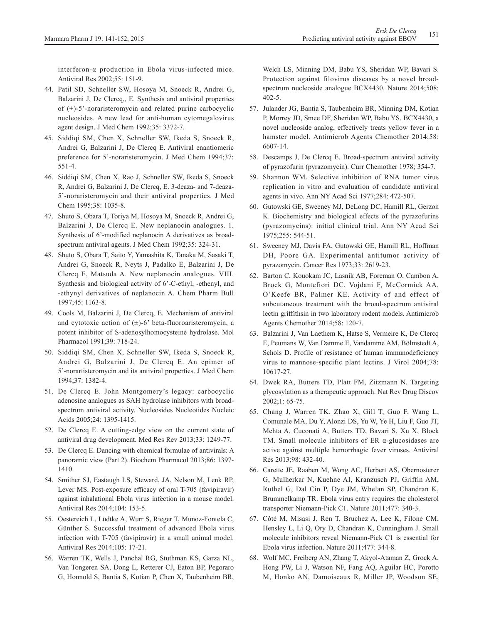interferon-α production in Ebola virus-infected mice. Antiviral Res 2002;55: 151-9.

- 44. Patil SD, Schneller SW, Hosoya M, Snoeck R, Andrei G, Balzarini J, De Clercq,, E. Synthesis and antiviral properties of  $(\pm)$ -5'-noraristeromycin and related purine carbocyclic nucleosides. A new lead for anti-human cytomegalovirus agent design. J Med Chem 1992;35: 3372-7.
- 45. Siddiqi SM, Chen X, Schneller SW, Ikeda S, Snoeck R, Andrei G, Balzarini J, De Clercq E. Antiviral enantiomeric preference for 5'-noraristeromycin. J Med Chem 1994;37: 551-4.
- 46. Siddiqi SM, Chen X, Rao J, Schneller SW, Ikeda S, Snoeck R, Andrei G, Balzarini J, De Clercq, E. 3-deaza- and 7-deaza-5'-noraristeromycin and their antiviral properties. J Med Chem 1995;38: 1035-8.
- 47. Shuto S, Obara T, Toriya M, Hosoya M, Snoeck R, Andrei G, Balzarini J, De Clercq E. New neplanocin analogues. 1. Synthesis of 6'-modified neplanocin A derivatives as broadspectrum antiviral agents. J Med Chem 1992;35: 324-31.
- 48. Shuto S, Obara T, Saito Y, Yamashita K, Tanaka M, Sasaki T, Andrei G, Snoeck R, Neyts J, Padalko E, Balzarini J, De Clercq E, Matsuda A. New neplanocin analogues. VIII. Synthesis and biological activity of 6'-C-ethyl, -ethenyl, and -ethynyl derivatives of neplanocin A. Chem Pharm Bull 1997;45: 1163-8.
- 49. Cools M, Balzarini J, De Clercq, E. Mechanism of antiviral and cytotoxic action of  $(\pm)$ -6' beta-fluoroaristeromycin, a potent inhibitor of S-adenosylhomocysteine hydrolase. Mol Pharmacol 1991;39: 718-24.
- 50. Siddiqi SM, Chen X, Schneller SW, Ikeda S, Snoeck R, Andrei G, Balzarini J, De Clercq E. An epimer of 5'-norartisteromycin and its antiviral properties. J Med Chem 1994;37: 1382-4.
- 51. De Clercq E. John Montgomery's legacy: carbocyclic adenosine analogues as SAH hydrolase inhibitors with broadspectrum antiviral activity. Nucleosides Nucleotides Nucleic Acids 2005;24: 1395-1415.
- 52. De Clercq E. A cutting-edge view on the current state of antiviral drug development. Med Res Rev 2013;33: 1249-77.
- 53. De Clercq E. Dancing with chemical formulae of antivirals: A panoramic view (Part 2). Biochem Pharmacol 2013;86: 1397- 1410.
- 54. Smither SJ, Eastaugh LS, Steward, JA, Nelson M, Lenk RP, Lever MS. Post-exposure efficacy of oral T-705 (favipiravir) against inhalational Ebola virus infection in a mouse model. Antiviral Res 2014;104: 153-5.
- 55. Oestereich L, Lüdtke A, Wurr S, Rieger T, Munoz-Fontela C, Günther S. Successful treatment of advanced Ebola virus infection with T-705 (favipiravir) in a small animal model. Antiviral Res 2014;105: 17-21.
- 56. Warren TK, Wells J, Panchal RG, Stuthman KS, Garza NL, Van Tongeren SA, Dong L, Retterer CJ, Eaton BP, Pegoraro G, Honnold S, Bantia S, Kotian P, Chen X, Taubenheim BR,

Welch LS, Minning DM, Babu YS, Sheridan WP, Bavari S. Protection against filovirus diseases by a novel broadspectrum nucleoside analogue BCX4430. Nature 2014;508: 402-5.

- 57. Julander JG, Bantia S, Taubenheim BR, Minning DM, Kotian P, Morrey JD, Smee DF, Sheridan WP, Babu YS. BCX4430, a novel nucleoside analog, effectively treats yellow fever in a hamster model. Antimicrob Agents Chemother 2014;58: 6607-14.
- 58. Descamps J, De Clercq E. Broad-spectrum antiviral activity of pyrazofurin (pyrazomycin). Curr Chemother 1978; 354-7.
- 59. Shannon WM. Selective inhibition of RNA tumor virus replication in vitro and evaluation of candidate antiviral agents in vivo. Ann NY Acad Sci 1977;284: 472-507.
- 60. Gutowski GE, Sweeney MJ, DeLong DC, Hamill RL, Gerzon K. Biochemistry and biological effects of the pyrazofurins (pyrazomycins): initial clinical trial. Ann NY Acad Sci 1975;255: 544-51.
- 61. Sweeney MJ, Davis FA, Gutowski GE, Hamill RL, Hoffman DH, Poore GA. Experimental antitumor activity of pyrazomycin. Cancer Res 1973;33: 2619-23.
- 62. Barton C, Kouokam JC, Lasnik AB, Foreman O, Cambon A, Brock G, Montefiori DC, Vojdani F, McCormick AA, O'Keefe BR, Palmer KE. Activity of and effect of subcutaneous treatment with the broad-spectrum antiviral lectin griffithsin in two laboratory rodent models. Antimicrob Agents Chemother 2014;58: 120-7.
- 63. Balzarini J, Van Laethem K, Hatse S, Vermeire K, De Clercq E, Peumans W, Van Damme E, Vandamme AM, Bölmstedt A, Schols D. Profile of resistance of human immunodeficiency virus to mannose-specific plant lectins. J Virol 2004;78: 10617-27.
- 64. Dwek RA, Butters TD, Platt FM, Zitzmann N. Targeting glycosylation as a therapeutic approach. Nat Rev Drug Discov 2002;1: 65-75.
- 65. Chang J, Warren TK, Zhao X, Gill T, Guo F, Wang L, Comunale MA, Du Y, Alonzi DS, Yu W, Ye H, Liu F, Guo JT, Mehta A, Cuconati A, Butters TD, Bavari S, Xu X, Block TM. Small molecule inhibitors of ER α-glucosidases are active against multiple hemorrhagic fever viruses. Antiviral Res 2013;98: 432-40.
- 66. Carette JE, Raaben M, Wong AC, Herbert AS, Obernosterer G, Mulherkar N, Kuehne AI, Kranzusch PJ, Griffin AM, Ruthel G, Dal Cin P, Dye JM, Whelan SP, Chandran K, Brummelkamp TR. Ebola virus entry requires the cholesterol transporter Niemann-Pick C1. Nature 2011;477: 340-3.
- 67. Côté M, Misasi J, Ren T, Bruchez A, Lee K, Filone CM, Hensley L, Li Q, Ory D, Chandran K, Cunningham J. Small molecule inhibitors reveal Niemann-Pick C1 is essential for Ebola virus infection. Nature 2011;477: 344-8.
- 68. Wolf MC, Freiberg AN, Zhang T, Akyol-Ataman Z, Grock A, Hong PW, Li J, Watson NF, Fang AQ, Aguilar HC, Porotto M, Honko AN, Damoiseaux R, Miller JP, Woodson SE,